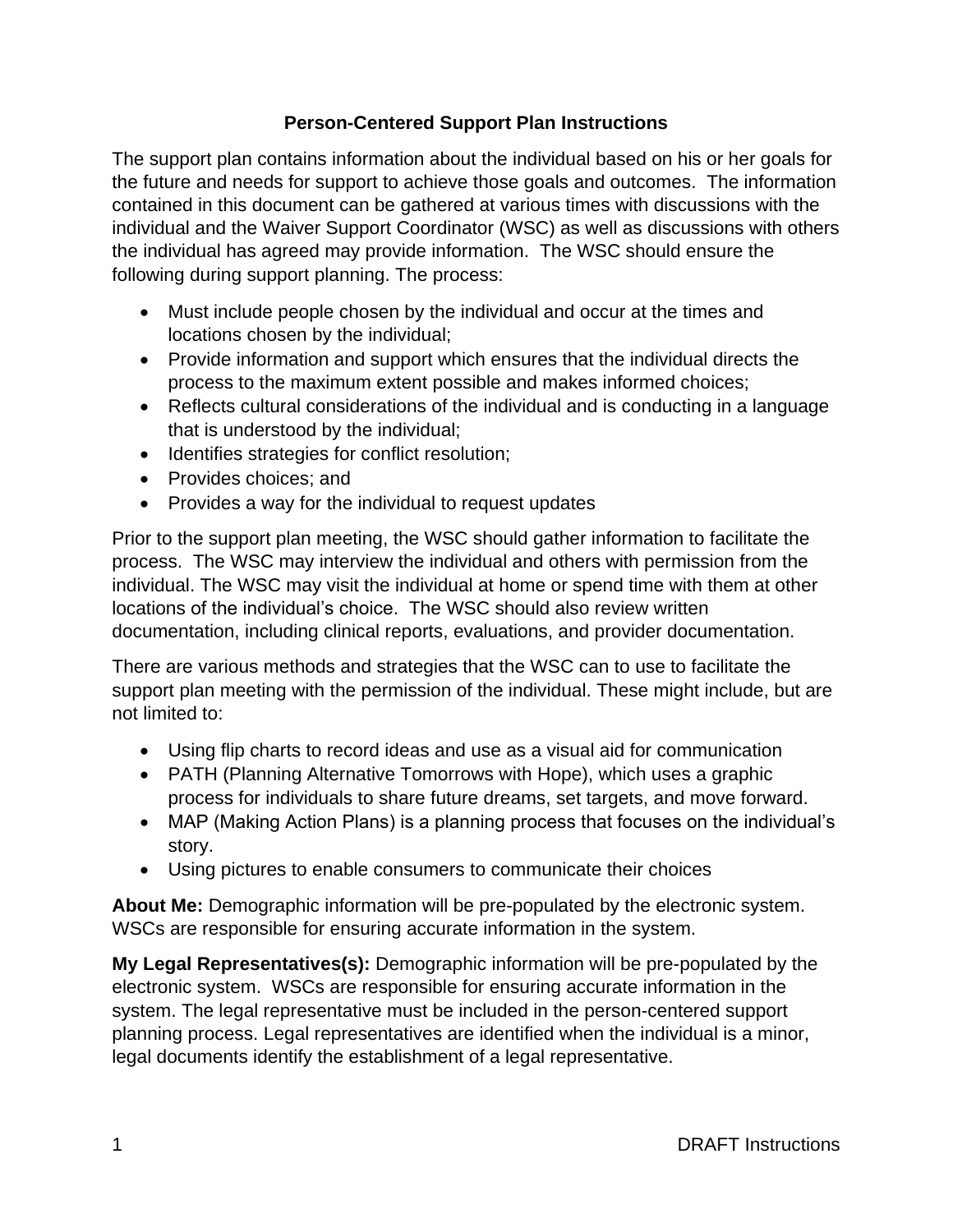# **Person-Centered Support Plan Instructions**

The support plan contains information about the individual based on his or her goals for the future and needs for support to achieve those goals and outcomes. The information contained in this document can be gathered at various times with discussions with the individual and the Waiver Support Coordinator (WSC) as well as discussions with others the individual has agreed may provide information. The WSC should ensure the following during support planning. The process:

- Must include people chosen by the individual and occur at the times and locations chosen by the individual;
- Provide information and support which ensures that the individual directs the process to the maximum extent possible and makes informed choices;
- Reflects cultural considerations of the individual and is conducting in a language that is understood by the individual;
- Identifies strategies for conflict resolution;
- Provides choices; and
- Provides a way for the individual to request updates

Prior to the support plan meeting, the WSC should gather information to facilitate the process. The WSC may interview the individual and others with permission from the individual. The WSC may visit the individual at home or spend time with them at other locations of the individual's choice. The WSC should also review written documentation, including clinical reports, evaluations, and provider documentation.

There are various methods and strategies that the WSC can to use to facilitate the support plan meeting with the permission of the individual. These might include, but are not limited to:

- Using flip charts to record ideas and use as a visual aid for communication
- PATH (Planning Alternative Tomorrows with Hope), which uses a graphic process for individuals to share future dreams, set targets, and move forward.
- MAP (Making Action Plans) is a planning process that focuses on the individual's story.
- Using pictures to enable consumers to communicate their choices

**About Me:** Demographic information will be pre-populated by the electronic system. WSCs are responsible for ensuring accurate information in the system.

**My Legal Representatives(s):** Demographic information will be pre-populated by the electronic system. WSCs are responsible for ensuring accurate information in the system. The legal representative must be included in the person-centered support planning process. Legal representatives are identified when the individual is a minor, legal documents identify the establishment of a legal representative.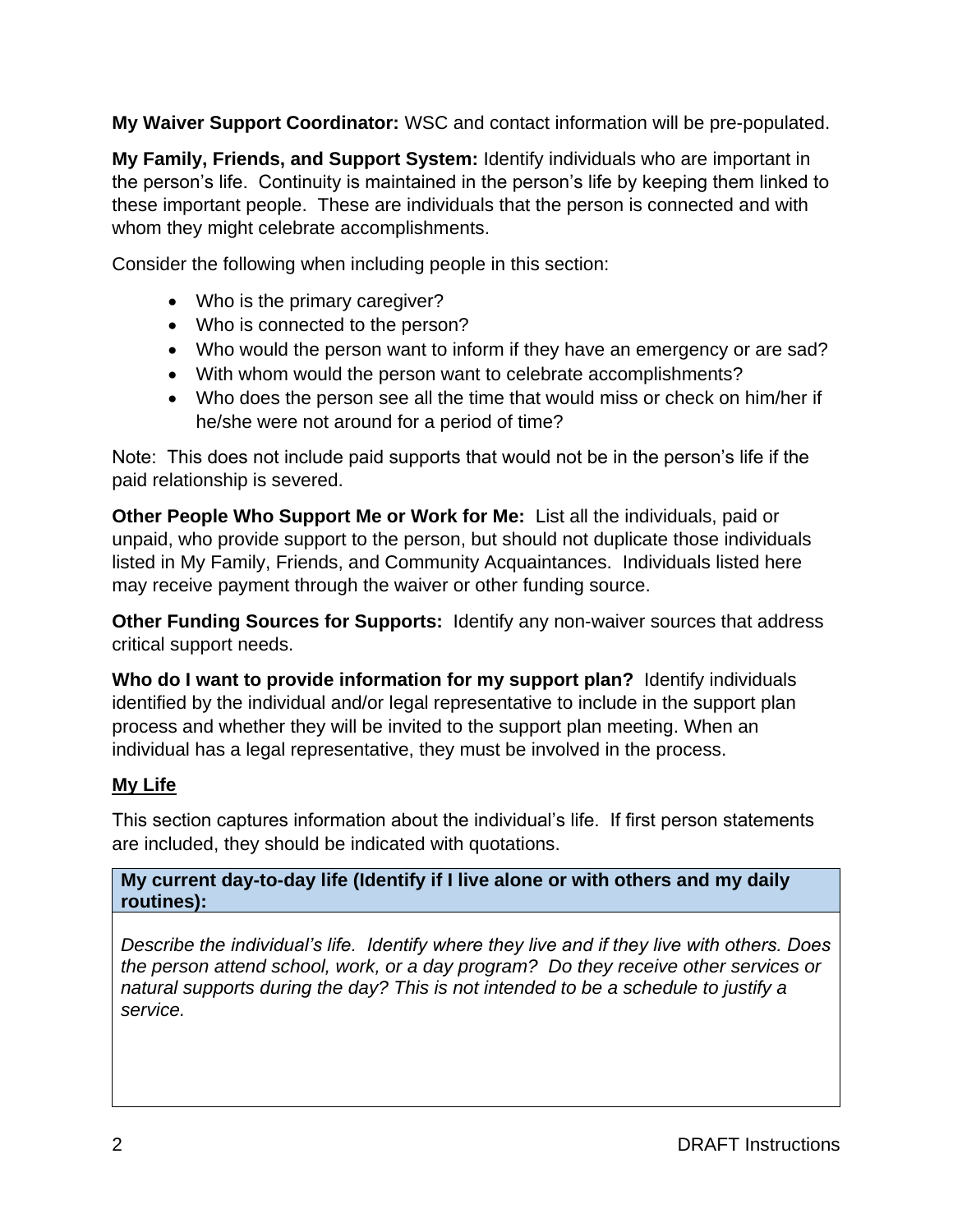**My Waiver Support Coordinator:** WSC and contact information will be pre-populated.

**My Family, Friends, and Support System:** Identify individuals who are important in the person's life. Continuity is maintained in the person's life by keeping them linked to these important people. These are individuals that the person is connected and with whom they might celebrate accomplishments.

Consider the following when including people in this section:

- Who is the primary caregiver?
- Who is connected to the person?
- Who would the person want to inform if they have an emergency or are sad?
- With whom would the person want to celebrate accomplishments?
- Who does the person see all the time that would miss or check on him/her if he/she were not around for a period of time?

Note: This does not include paid supports that would not be in the person's life if the paid relationship is severed.

**Other People Who Support Me or Work for Me:** List all the individuals, paid or unpaid, who provide support to the person, but should not duplicate those individuals listed in My Family, Friends, and Community Acquaintances. Individuals listed here may receive payment through the waiver or other funding source.

**Other Funding Sources for Supports: Identify any non-waiver sources that address** critical support needs.

**Who do I want to provide information for my support plan?** Identify individuals identified by the individual and/or legal representative to include in the support plan process and whether they will be invited to the support plan meeting. When an individual has a legal representative, they must be involved in the process.

# **My Life**

This section captures information about the individual's life. If first person statements are included, they should be indicated with quotations.

**My current day-to-day life (Identify if I live alone or with others and my daily routines):**

*Describe the individual's life. Identify where they live and if they live with others. Does the person attend school, work, or a day program? Do they receive other services or natural supports during the day? This is not intended to be a schedule to justify a service.*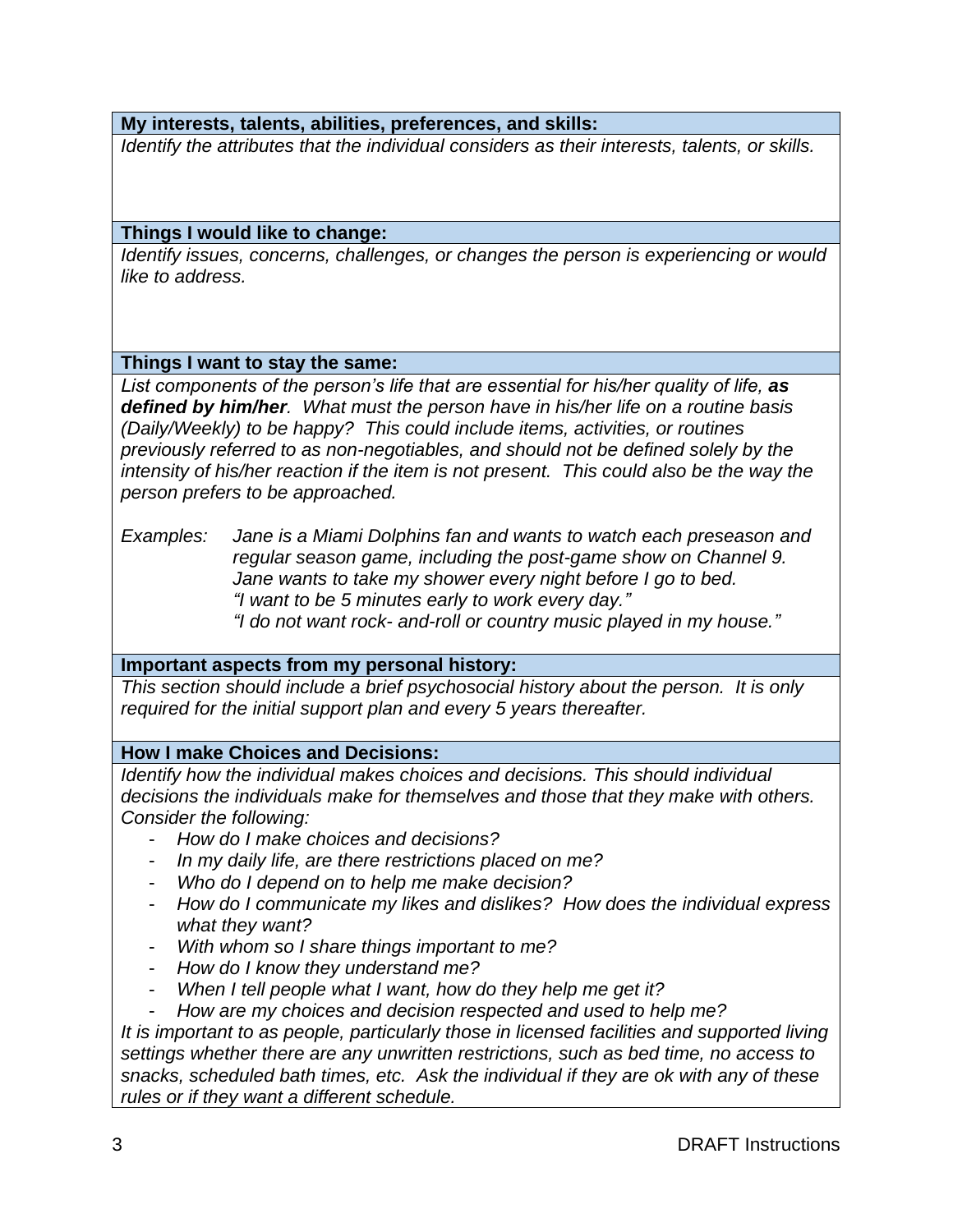### **My interests, talents, abilities, preferences, and skills:**

*Identify the attributes that the individual considers as their interests, talents, or skills.*

#### **Things I would like to change:**

*Identify issues, concerns, challenges, or changes the person is experiencing or would like to address.*

#### **Things I want to stay the same:**

List components of the person's life that are essential for his/her quality of life, as *defined by him/her. What must the person have in his/her life on a routine basis (Daily/Weekly) to be happy? This could include items, activities, or routines previously referred to as non-negotiables, and should not be defined solely by the intensity of his/her reaction if the item is not present. This could also be the way the person prefers to be approached.* 

*Examples: Jane is a Miami Dolphins fan and wants to watch each preseason and regular season game, including the post-game show on Channel 9. Jane wants to take my shower every night before I go to bed. "I want to be 5 minutes early to work every day." "I do not want rock- and-roll or country music played in my house."* 

#### **Important aspects from my personal history:**

*This section should include a brief psychosocial history about the person. It is only required for the initial support plan and every 5 years thereafter.* 

## **How I make Choices and Decisions:**

*Identify how the individual makes choices and decisions. This should individual decisions the individuals make for themselves and those that they make with others. Consider the following:*

- *How do I make choices and decisions?*
- *In my daily life, are there restrictions placed on me?*
- *Who do I depend on to help me make decision?*
- *How do I communicate my likes and dislikes? How does the individual express what they want?*
- *With whom so I share things important to me?*
- *How do I know they understand me?*
- *When I tell people what I want, how do they help me get it?*
- *How are my choices and decision respected and used to help me?*

*It is important to as people, particularly those in licensed facilities and supported living settings whether there are any unwritten restrictions, such as bed time, no access to snacks, scheduled bath times, etc. Ask the individual if they are ok with any of these rules or if they want a different schedule.*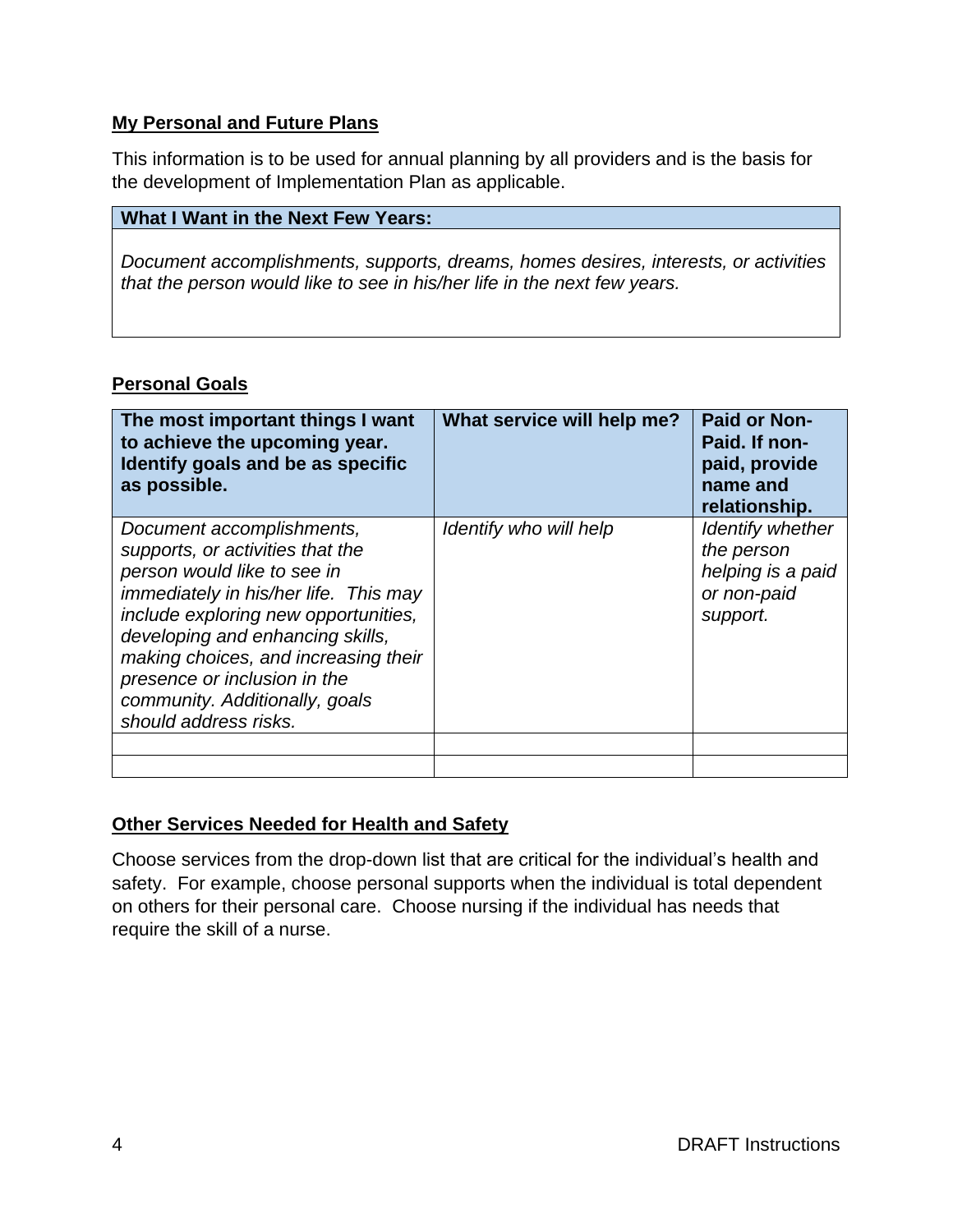## **My Personal and Future Plans**

This information is to be used for annual planning by all providers and is the basis for the development of Implementation Plan as applicable.

## **What I Want in the Next Few Years:**

*Document accomplishments, supports, dreams, homes desires, interests, or activities that the person would like to see in his/her life in the next few years.* 

## **Personal Goals**

| The most important things I want<br>to achieve the upcoming year.<br>Identify goals and be as specific<br>as possible.                                                                                                                                                                                                                                      | What service will help me? | <b>Paid or Non-</b><br>Paid. If non-<br>paid, provide<br>name and<br>relationship. |
|-------------------------------------------------------------------------------------------------------------------------------------------------------------------------------------------------------------------------------------------------------------------------------------------------------------------------------------------------------------|----------------------------|------------------------------------------------------------------------------------|
| Document accomplishments,<br>supports, or activities that the<br>person would like to see in<br><i>immediately in his/her life. This may</i><br>include exploring new opportunities,<br>developing and enhancing skills,<br>making choices, and increasing their<br>presence or inclusion in the<br>community. Additionally, goals<br>should address risks. | Identify who will help     | Identify whether<br>the person<br>helping is a paid<br>or non-paid<br>support.     |
|                                                                                                                                                                                                                                                                                                                                                             |                            |                                                                                    |

## **Other Services Needed for Health and Safety**

Choose services from the drop-down list that are critical for the individual's health and safety. For example, choose personal supports when the individual is total dependent on others for their personal care. Choose nursing if the individual has needs that require the skill of a nurse.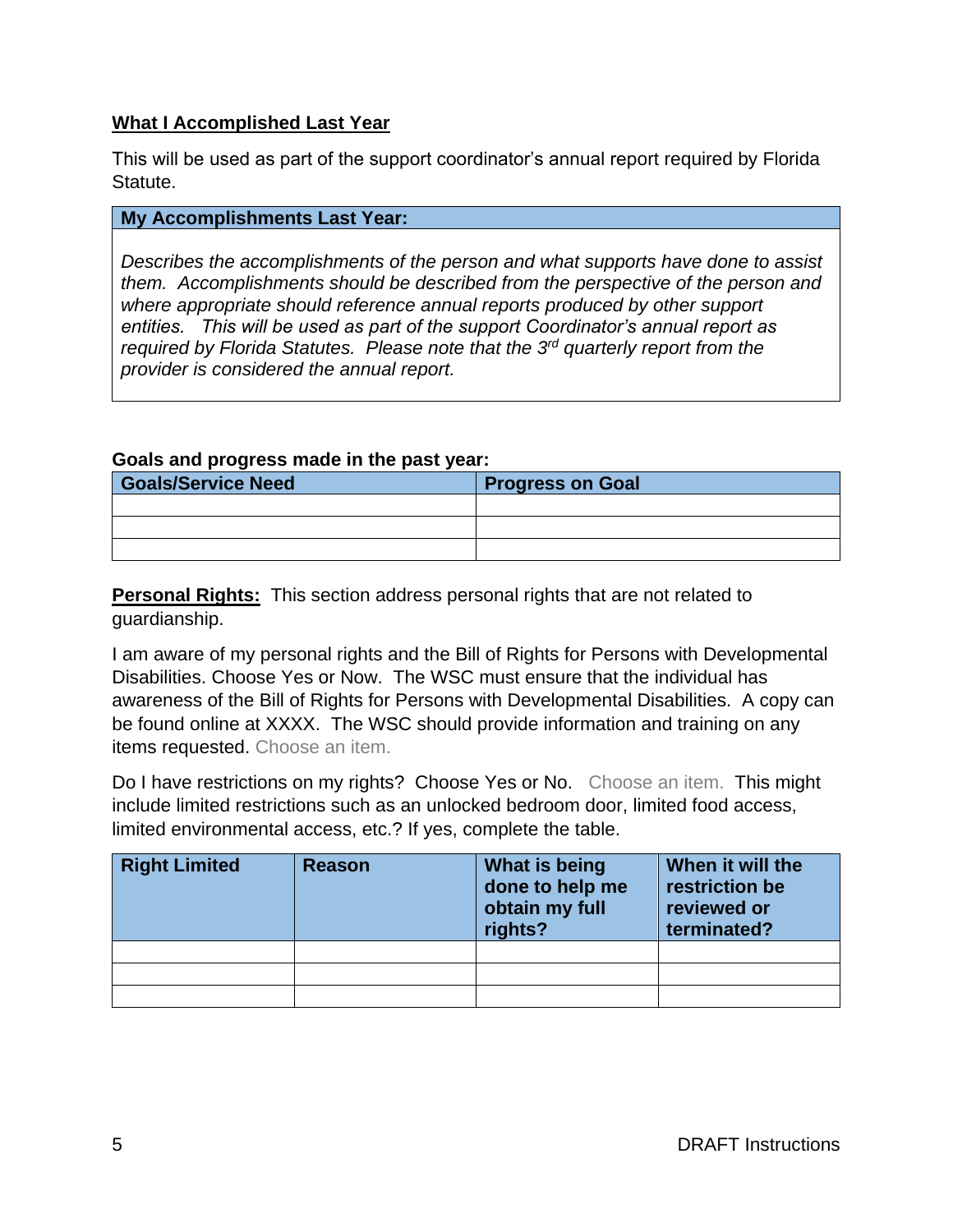## **What I Accomplished Last Year**

This will be used as part of the support coordinator's annual report required by Florida Statute.

### **My Accomplishments Last Year:**

*Describes the accomplishments of the person and what supports have done to assist them. Accomplishments should be described from the perspective of the person and where appropriate should reference annual reports produced by other support entities. This will be used as part of the support Coordinator's annual report as required by Florida Statutes. Please note that the 3rd quarterly report from the provider is considered the annual report.* 

#### **Goals and progress made in the past year:**

| <b>Goals/Service Need</b> | <b>Progress on Goal</b> |  |
|---------------------------|-------------------------|--|
|                           |                         |  |
|                           |                         |  |
|                           |                         |  |

**Personal Rights:** This section address personal rights that are not related to guardianship.

I am aware of my personal rights and the Bill of Rights for Persons with Developmental Disabilities. Choose Yes or Now. The WSC must ensure that the individual has awareness of the Bill of Rights for Persons with Developmental Disabilities. A copy can be found online at XXXX. The WSC should provide information and training on any items requested. Choose an item.

Do I have restrictions on my rights? Choose Yes or No. Choose an item. This might include limited restrictions such as an unlocked bedroom door, limited food access, limited environmental access, etc.? If yes, complete the table.

| <b>Right Limited</b> | <b>Reason</b> | What is being<br>done to help me<br>obtain my full<br>rights? | When it will the<br>restriction be<br>reviewed or<br>terminated? |
|----------------------|---------------|---------------------------------------------------------------|------------------------------------------------------------------|
|                      |               |                                                               |                                                                  |
|                      |               |                                                               |                                                                  |
|                      |               |                                                               |                                                                  |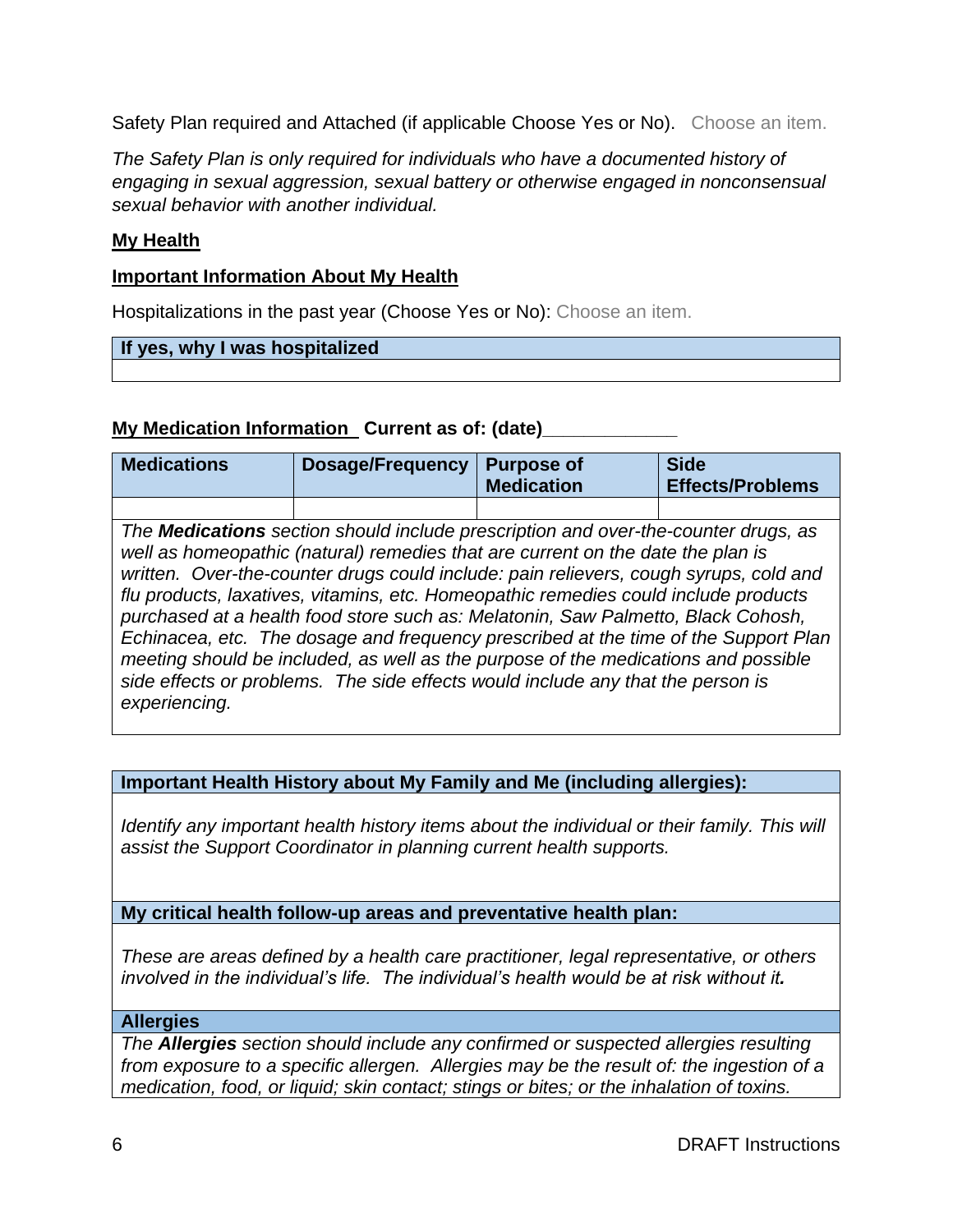Safety Plan required and Attached (if applicable Choose Yes or No). Choose an item.

*The Safety Plan is only required for individuals who have a documented history of engaging in sexual aggression, sexual battery or otherwise engaged in nonconsensual sexual behavior with another individual.* 

## **My Health**

## **Important Information About My Health**

Hospitalizations in the past year (Choose Yes or No): Choose an item.

#### **If yes, why I was hospitalized**

## **My Medication Information Current as of: (date)**

| <b>Medications</b>                                                                                                                                                                                                                                                                                                                                                                                                                                                                                                                                                                                                                                                                                                                | <b>Dosage/Frequency</b> | <b>Purpose of</b><br><b>Medication</b> | <b>Side</b><br><b>Effects/Problems</b> |
|-----------------------------------------------------------------------------------------------------------------------------------------------------------------------------------------------------------------------------------------------------------------------------------------------------------------------------------------------------------------------------------------------------------------------------------------------------------------------------------------------------------------------------------------------------------------------------------------------------------------------------------------------------------------------------------------------------------------------------------|-------------------------|----------------------------------------|----------------------------------------|
|                                                                                                                                                                                                                                                                                                                                                                                                                                                                                                                                                                                                                                                                                                                                   |                         |                                        |                                        |
| The <b>Medications</b> section should include prescription and over-the-counter drugs, as<br>well as homeopathic (natural) remedies that are current on the date the plan is<br>written. Over-the-counter drugs could include: pain relievers, cough syrups, cold and<br>flu products, laxatives, vitamins, etc. Homeopathic remedies could include products<br>purchased at a health food store such as: Melatonin, Saw Palmetto, Black Cohosh,<br>Echinacea, etc. The dosage and frequency prescribed at the time of the Support Plan<br>meeting should be included, as well as the purpose of the medications and possible<br>side effects or problems. The side effects would include any that the person is<br>experiencing. |                         |                                        |                                        |

## **Important Health History about My Family and Me (including allergies):**

*Identify any important health history items about the individual or their family. This will assist the Support Coordinator in planning current health supports.* 

**My critical health follow-up areas and preventative health plan:**

*These are areas defined by a health care practitioner, legal representative, or others involved in the individual's life. The individual's health would be at risk without it.* 

#### **Allergies**

*The Allergies section should include any confirmed or suspected allergies resulting from exposure to a specific allergen. Allergies may be the result of: the ingestion of a medication, food, or liquid; skin contact; stings or bites; or the inhalation of toxins.*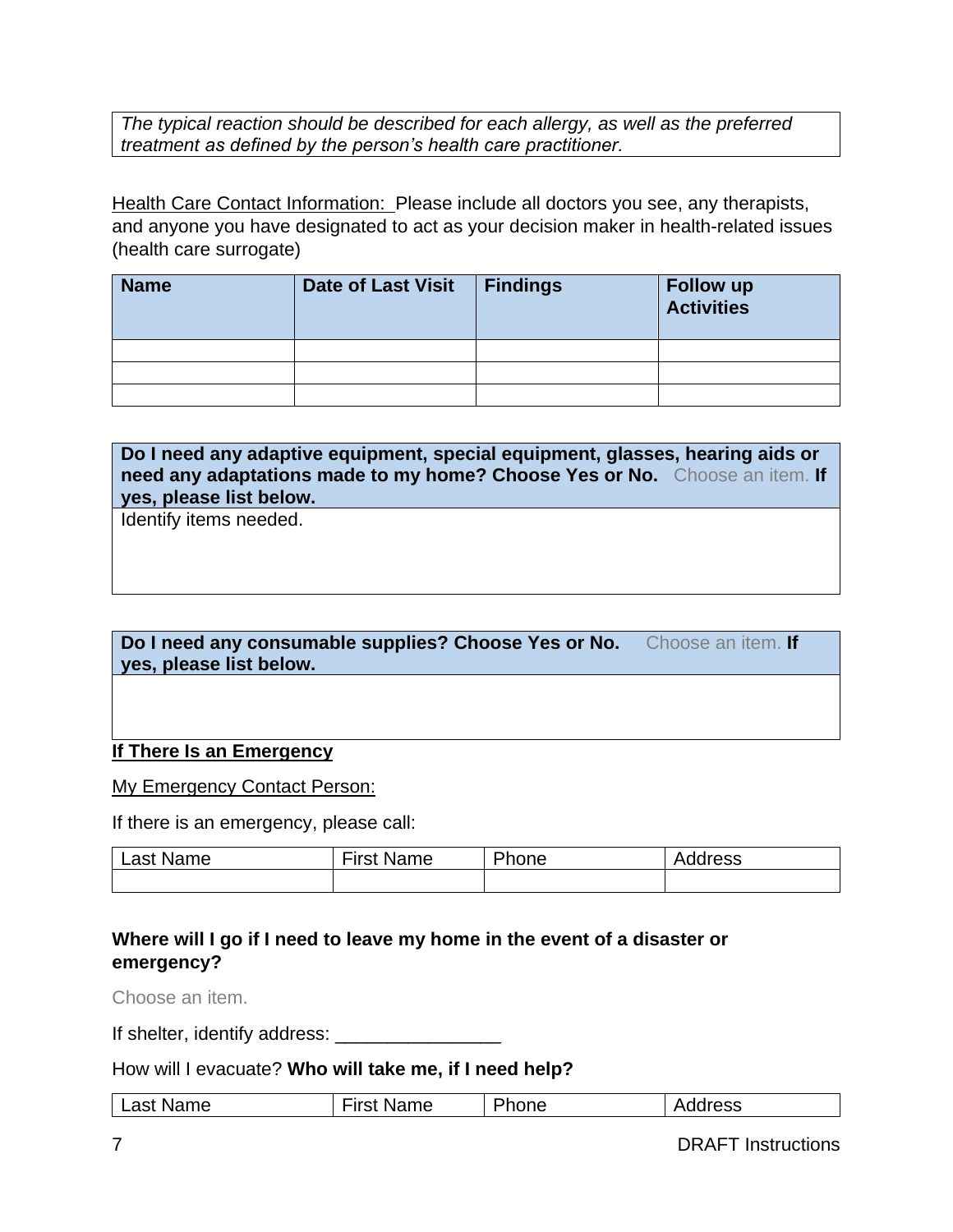*The typical reaction should be described for each allergy, as well as the preferred treatment as defined by the person's health care practitioner.*

Health Care Contact Information: Please include all doctors you see, any therapists, and anyone you have designated to act as your decision maker in health-related issues (health care surrogate)

| <b>Name</b> | <b>Date of Last Visit</b> | <b>Findings</b> | <b>Follow up</b><br><b>Activities</b> |
|-------------|---------------------------|-----------------|---------------------------------------|
|             |                           |                 |                                       |
|             |                           |                 |                                       |
|             |                           |                 |                                       |

**Do I need any adaptive equipment, special equipment, glasses, hearing aids or need any adaptations made to my home? Choose Yes or No.** Choose an item. **If yes, please list below.**

Identify items needed.

## **Do I need any consumable supplies? Choose Yes or No.** Choose an item. **If yes, please list below.**

## **If There Is an Emergency**

My Emergency Contact Person:

If there is an emergency, please call:

| Last<br>Name | <b>First Name</b> | Phone | ^<br>tress<br>Αı |
|--------------|-------------------|-------|------------------|
|              |                   |       |                  |

# **Where will I go if I need to leave my home in the event of a disaster or emergency?**

Choose an item.

If shelter, identify address: \_\_\_\_\_\_\_\_\_\_\_\_\_\_\_\_

How will I evacuate? **Who will take me, if I need help?**

| $-1$<br>Phone<br>not<br>Name<br>Iress<br>Name<br>_aɔı |
|-------------------------------------------------------|
|-------------------------------------------------------|